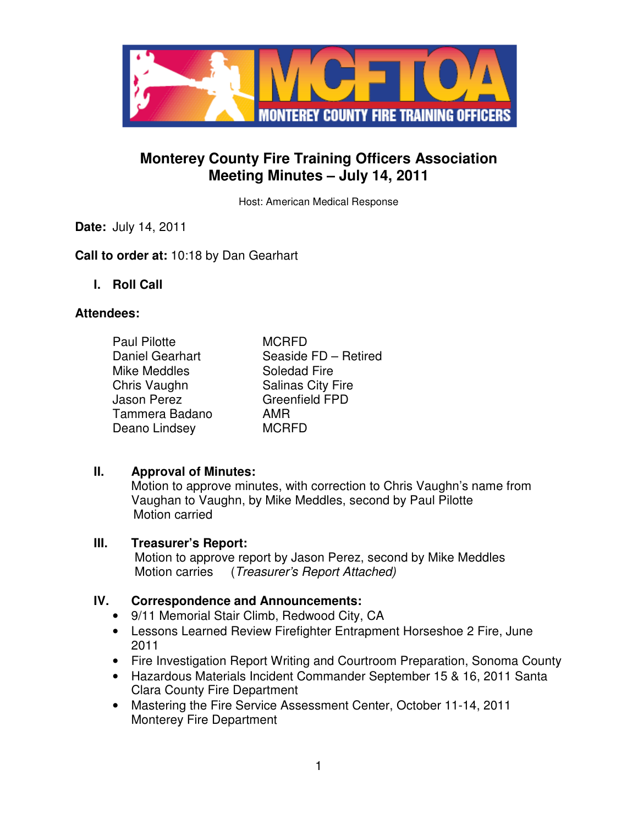

# **Monterey County Fire Training Officers Association Meeting Minutes – July 14, 2011**

Host: American Medical Response

**Date:** July 14, 2011

## **Call to order at:** 10:18 by Dan Gearhart

**I. Roll Call** 

### **Attendees:**

| <b>Paul Pilotte</b>    | <b>MCRFD</b>             |
|------------------------|--------------------------|
| <b>Daniel Gearhart</b> | Seaside FD - Retired     |
| Mike Meddles           | Soledad Fire             |
| Chris Vaughn           | <b>Salinas City Fire</b> |
| <b>Jason Perez</b>     | <b>Greenfield FPD</b>    |
| Tammera Badano         | AMR                      |
| Deano Lindsey          | <b>MCRFD</b>             |

### **II. Approval of Minutes:**

Motion to approve minutes, with correction to Chris Vaughn's name from Vaughan to Vaughn, by Mike Meddles, second by Paul Pilotte Motion carried

### **III. Treasurer's Report:**

 Motion to approve report by Jason Perez, second by Mike Meddles Motion carries (*Treasurer's Report Attached*)

### **IV. Correspondence and Announcements:**

- 9/11 Memorial Stair Climb, Redwood City, CA
- Lessons Learned Review Firefighter Entrapment Horseshoe 2 Fire, June 2011
- Fire Investigation Report Writing and Courtroom Preparation, Sonoma County
- Hazardous Materials Incident Commander September 15 & 16, 2011 Santa Clara County Fire Department
- Mastering the Fire Service Assessment Center, October 11-14, 2011 Monterey Fire Department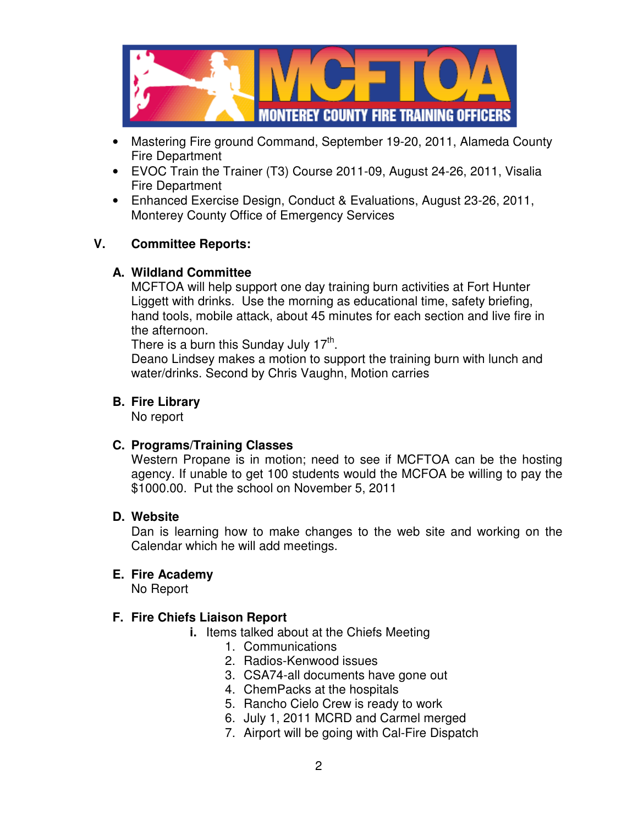

- Mastering Fire ground Command, September 19-20, 2011, Alameda County Fire Department
- EVOC Train the Trainer (T3) Course 2011-09, August 24-26, 2011, Visalia Fire Department
- Enhanced Exercise Design, Conduct & Evaluations, August 23-26, 2011, Monterey County Office of Emergency Services

## **V. Committee Reports:**

## **A. Wildland Committee**

MCFTOA will help support one day training burn activities at Fort Hunter Liggett with drinks. Use the morning as educational time, safety briefing, hand tools, mobile attack, about 45 minutes for each section and live fire in the afternoon.

There is a burn this Sunday July 17<sup>th</sup>.

Deano Lindsey makes a motion to support the training burn with lunch and water/drinks. Second by Chris Vaughn, Motion carries

## **B. Fire Library**

No report

# **C. Programs/Training Classes**

Western Propane is in motion; need to see if MCFTOA can be the hosting agency. If unable to get 100 students would the MCFOA be willing to pay the \$1000.00. Put the school on November 5, 2011

## **D. Website**

Dan is learning how to make changes to the web site and working on the Calendar which he will add meetings.

### **E. Fire Academy**

No Report

# **F. Fire Chiefs Liaison Report**

- **i.** Items talked about at the Chiefs Meeting
	- 1. Communications
	- 2. Radios-Kenwood issues
	- 3. CSA74-all documents have gone out
	- 4. ChemPacks at the hospitals
	- 5. Rancho Cielo Crew is ready to work
	- 6. July 1, 2011 MCRD and Carmel merged
	- 7. Airport will be going with Cal-Fire Dispatch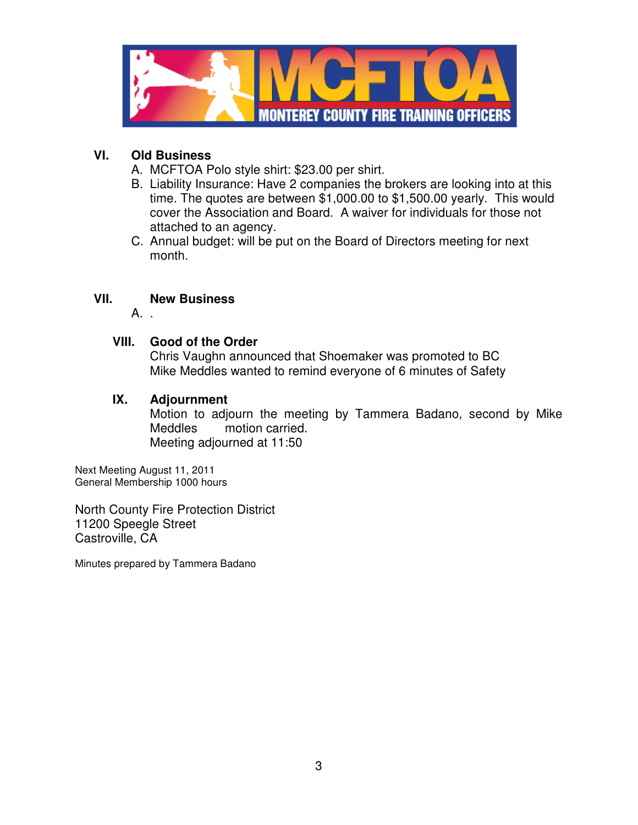

# **VI. Old Business**

- A. MCFTOA Polo style shirt: \$23.00 per shirt.
- B. Liability Insurance: Have 2 companies the brokers are looking into at this time. The quotes are between \$1,000.00 to \$1,500.00 yearly. This would cover the Association and Board. A waiver for individuals for those not attached to an agency.
- C. Annual budget: will be put on the Board of Directors meeting for next month.

# **VII. New Business**

A. .

## **VIII. Good of the Order**

Chris Vaughn announced that Shoemaker was promoted to BC Mike Meddles wanted to remind everyone of 6 minutes of Safety

### **IX. Adjournment**

Motion to adjourn the meeting by Tammera Badano, second by Mike Meddles motion carried. Meeting adjourned at 11:50

Next Meeting August 11, 2011 General Membership 1000 hours

North County Fire Protection District 11200 Speegle Street Castroville, CA

Minutes prepared by Tammera Badano